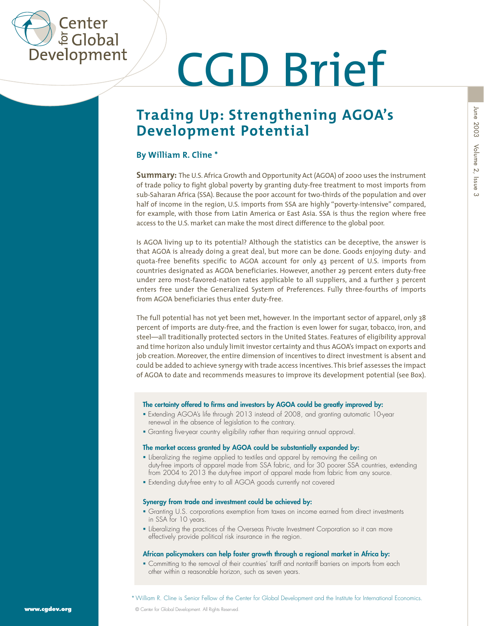

# CGD Brief

### **Trading Up: Strengthening AGOA's Development Potential**

#### **By William R. Cline \***

**Summary:** The U.S. Africa Growth and Opportunity Act (AGOA) of 2000 uses the instrument of trade policy to fight global poverty by granting duty-free treatment to most imports from sub-Saharan Africa (SSA). Because the poor account for two-thirds of the population and over half of income in the region, U.S. imports from SSA are highly "poverty-intensive" compared, for example, with those from Latin America or East Asia. SSA is thus the region where free access to the U.S. market can make the most direct difference to the global poor.

Is AGOA living up to its potential? Although the statistics can be deceptive, the answer is that AGOA is already doing a great deal, but more can be done. Goods enjoying duty- and quota-free benefits specific to AGOA account for only 43 percent of U.S. imports from countries designated as AGOA beneficiaries. However, another 29 percent enters duty-free under zero most-favored-nation rates applicable to all suppliers, and a further 3 percent enters free under the Generalized System of Preferences. Fully three-fourths of imports from AGOA beneficiaries thus enter duty-free.

The full potential has not yet been met, however. In the important sector of apparel, only 38 percent of imports are duty-free, and the fraction is even lower for sugar, tobacco, iron, and steel—all traditionally protected sectors in the United States. Features of eligibility approval and time horizon also unduly limit investor certainty and thus AGOA's impact on exports and job creation. Moreover, the entire dimension of incentives to direct investment is absent and could be added to achieve synergy with trade access incentives. This brief assesses the impact of AGOA to date and recommends measures to improve its development potential (see Box).

#### **The certainty offered to firms and investors by AGOA could be greatly improved by:**

- Extending AGOA's life through 2013 instead of 2008, and granting automatic 10-year renewal in the absence of legislation to the contrary.
- Granting five-year country eligibility rather than requiring annual approval.

#### **The market access granted by AGOA could be substantially expanded by:**

- **.** Liberalizing the regime applied to textiles and apparel by removing the ceiling on duty-free imports of apparel made from SSA fabric, and for 30 poorer SSA countries, extending from 2004 to 2013 the duty-free import of apparel made from fabric from any source.
- Extending duty-free entry to all AGOA goods currently not covered

#### **Synergy from trade and investment could be achieved by:**

- Granting U.S. corporations exemption from taxes on income earned from direct investments in SSA for 10 years.
- **Exercise in the practices of the Overseas Private Investment Corporation so it can more** effectively provide political risk insurance in the region.

#### **African policymakers can help foster growth through a regional market in Africa by:**

 Committing to the removal of their countries' tariff and nontariff barriers on imports from each other within a reasonable horizon, such as seven years.

\*William R. Cline is Senior Fellow of the Center for Global Development and the Institute for International Economics.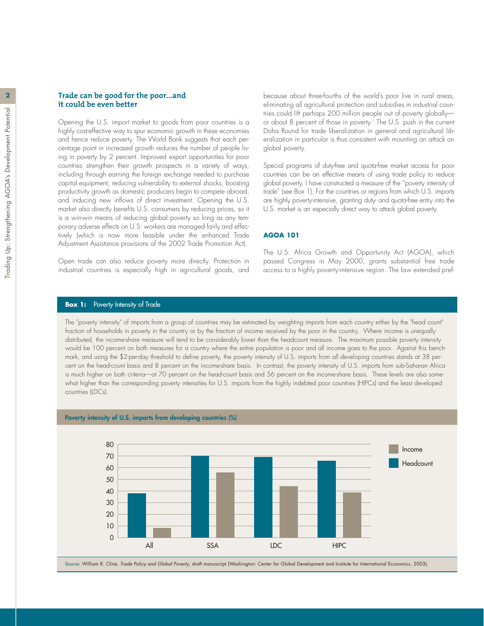#### **2 Trade can be good for the poor…and it could be even better**

Opening the U.S. import market to goods from poor countries is a highly cost-effective way to spur economic growth in these economies and hence reduce poverty. The World Bank suggests that each percentage point in increased growth reduces the number of people living in poverty by 2 percent. Improved export opportunities for poor countries strengthen their growth prospects in a variety of ways, including through earning the foreign exchange needed to purchase capital equipment, reducing vulnerability to external shocks, boosting productivity growth as domestic producers begin to compete abroad, and inducing new inflows of direct investment. Opening the U.S. market also directly benefits U.S. consumers by reducing prices, so it is a win-win means of reducing global poverty so long as any temporary adverse effects on U.S. workers are managed fairly and effectively (which is now more feasible under the enhanced Trade Adjustment Assistance provisions of the 2002 Trade Promotion Act).

Open trade can also reduce poverty more directly. Protection in industrial countries is especially high in agricultural goods, and because about three-fourths of the world's poor live in rural areas, eliminating all agricultural protection and subsidies in industrial countries could lift perhaps 200 million people out of poverty globally or about 8 percent of those in poverty.<sup>1</sup> The U.S. push in the current Doha Round for trade liberalization in general and agricultural liberalization in particular is thus consistent with mounting an attack on global poverty.

Special programs of duty-free and quota-free market access for poor countries can be an effective means of using trade policy to reduce global poverty. I have constructed a measure of the "poverty intensity of trade" (see Box 1). For the countries or regions from which U.S. imports are highly poverty-intensive, granting duty- and quota-free entry into the U.S. market is an especially direct way to attack global poverty.

#### **AGOA 101**

The U.S. Africa Growth and Opportunity Act (AGOA), which passed Congress in May 2000, grants substantial free trade access to a highly poverty-intensive region. The law extended pref-

#### **Box 1:** Poverty Intensity of Trade

The "poverty intensity" of imports from a group of countries may be estimated by weighting imports from each country either by the "head count" fraction of households in poverty in the country or by the fraction of income received by the poor in the country. Where income is unequally distributed, the income-share measure will tend to be considerably lower than the headcount measure. The maximum possible poverty intensity would be 100 percent on both measures for a country where the entire population is poor and all income goes to the poor. Against this benchmark, and using the \$2-per-day threshold to define poverty, the poverty intensity of U.S. imports from all developing countries stands at 38 percent on the head-count basis and 8 percent on the income-share basis. In contrast, the poverty intensity of U.S. imports from sub-Saharan Africa is much higher on both criteria—at 70 percent on the head-count basis and 56 percent on the income-share basis. These levels are also somewhat higher than the corresponding poverty intensities for U.S. imports from the highly indebted poor countries (HIPCs) and the least developed countries (LDCs).



#### **Poverty intensity of U.S. imports from developing countries (%)**

Source: William R. Cline, *Trade Policy and Global Poverty*, draft manuscript (Washington: Center for Global Development and Institute for International Economics, 2003).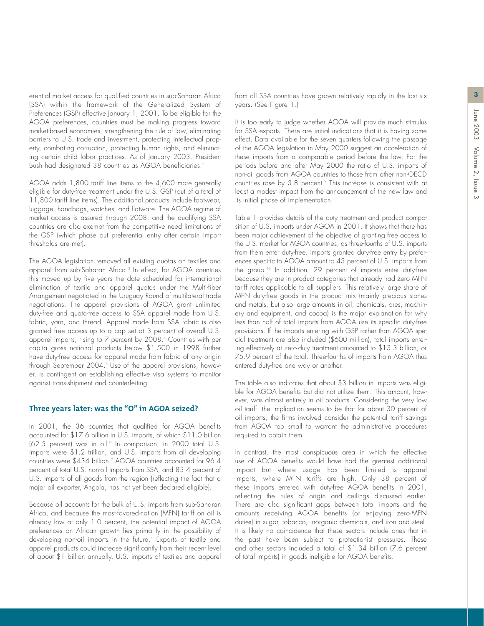**3**

erential market access for qualified countries in sub-Saharan Africa (SSA) within the framework of the Generalized System of Preferences (GSP) effective January 1, 2001. To be eligible for the AGOA preferences, countries must be making progress toward market-based economies, strengthening the rule of law, eliminating barriers to U.S. trade and investment, protecting intellectual property, combating corruption, protecting human rights, and eliminating certain child labor practices. As of January 2003, President Bush had designated 38 countries as AGOA beneficiaries.<sup>2</sup>

AGOA adds 1,800 tariff line items to the 4,600 more generally eligible for duty-free treatment under the U.S. GSP (out of a total of 11,800 tariff line items). The additional products include footwear, luggage, handbags, watches, and flatware. The AGOA regime of market access is assured through 2008, and the qualifying SSA countries are also exempt from the competitive need limitations of the GSP (which phase out preferential entry after certain import thresholds are met).

The AGOA legislation removed all existing quotas on textiles and apparel from sub-Saharan Africa.<sup>3</sup> In effect, for AGOA countries this moved up by five years the date scheduled for international elimination of textile and apparel quotas under the Multi-fiber Arrangement negotiated in the Uruguay Round of multilateral trade negotiations. The apparel provisions of AGOA grant unlimited duty-free and quota-free access to SSA apparel made from U.S. fabric, yarn, and thread. Apparel made from SSA fabric is also granted free access up to a cap set at 3 percent of overall U.S. apparel imports, rising to 7 percent by 2008.4 Countries with per capita gross national products below \$1,500 in 1998 further have duty-free access for apparel made from fabric of any origin through September 2004.<sup>5</sup> Use of the apparel provisions, however, is contingent on establishing effective visa systems to monitor against trans-shipment and counterfeiting.

#### **Three years later: was the "O" in AGOA seized?**

In 2001, the 36 countries that qualified for AGOA benefits accounted for \$17.6 billion in U.S. imports, of which \$11.0 billion (62.5 percent) was in oil.<sup>6</sup> In comparison, in 2000 total U.S. imports were \$1.2 trillion, and U.S. imports from all developing countries were \$434 billion.<sup>7</sup> AGOA countries accounted for 96.4 percent of total U.S. non-oil imports from SSA, and 83.4 percent of U.S. imports of all goods from the region (reflecting the fact that a major oil exporter, Angola, has not yet been declared eligible).

Because oil accounts for the bulk of U.S. imports from sub-Saharan Africa, and because the most-favored-nation (MFN) tariff on oil is already low at only 1.0 percent, the potential impact of AGOA preferences on African growth lies primarily in the possibility of developing non-oil imports in the future.<sup>8</sup> Exports of textile and apparel products could increase significantly from their recent level of about \$1 billion annually. U.S. imports of textiles and apparel from all SSA countries have grown relatively rapidly in the last six years. (See Figure 1.)

It is too early to judge whether AGOA will provide much stimulus for SSA exports. There are initial indications that it is having some effect. Data available for the seven quarters following the passage of the AGOA legislation in May 2000 suggest an acceleration of these imports from a comparable period before the law. For the periods before and after May 2000 the ratio of U.S. imports of non-oil goods from AGOA countries to those from other non-OECD countries rose by 3.8 percent.<sup>9</sup> This increase is consistent with at least a modest impact from the announcement of the new law and its initial phase of implementation.

Table 1 provides details of the duty treatment and product composition of U.S. imports under AGOA in 2001. It shows that there has been major achievement of the objective of granting free access to the U.S. market for AGOA countries, as three-fourths of U.S. imports from them enter duty-free. Imports granted duty-free entry by preferences specific to AGOA amount to 43 percent of U.S. imports from the group.<sup>10</sup> In addition, 29 percent of imports enter duty-free because they are in product categories that already had zero MFN tariff rates applicable to all suppliers. This relatively large share of MFN duty-free goods in the product mix (mainly precious stones and metals, but also large amounts in oil, chemicals, ores, machinery and equipment, and cocoa) is the major explanation for why less than half of total imports from AGOA use its specific duty-free provisions. If the imports entering with GSP rather than AGOA special treatment are also included (\$600 million), total imports entering effectively at zero-duty treatment amounted to \$13.3 billion, or 75.9 percent of the total. Three-fourths of imports from AGOA thus entered duty-free one way or another.

The table also indicates that about \$3 billion in imports was eligible for AGOA benefits but did not utilize them. This amount, however, was almost entirely in oil products. Considering the very low oil tariff, the implication seems to be that for about 30 percent of oil imports, the firms involved consider the potential tariff savings from AGOA too small to warrant the administrative procedures required to obtain them.

In contrast, the most conspicuous area in which the effective use of AGOA benefits would have had the greatest additional impact but where usage has been limited is apparel imports, where MFN tariffs are high. Only 38 percent of these imports entered with duty-free AGOA benefits in 2001, reflecting the rules of origin and ceilings discussed earlier. There are also significant gaps between total imports and the amounts receiving AGOA benefits (or enjoying zero-MFN duties) in sugar, tobacco, inorganic chemicals, and iron and steel. It is likely no coincidence that these sectors include ones that in the past have been subject to protectionist pressures. These and other sectors included a total of \$1.34 billion (7.6 percent of total imports) in goods ineligible for AGOA benefits.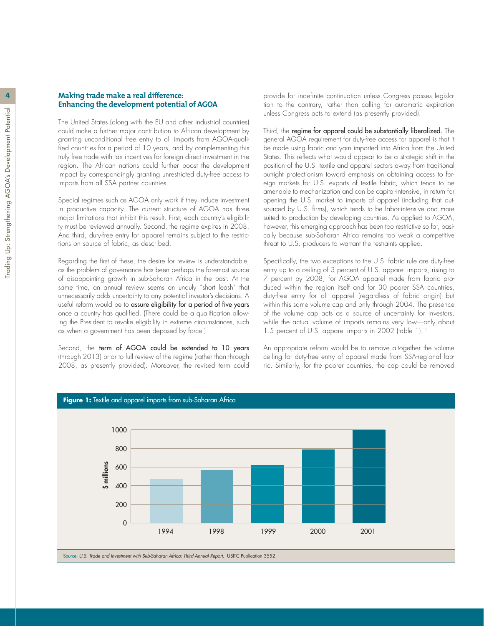#### **4 Making trade make a real difference: Enhancing the development potential of AGOA**

The United States (along with the EU and other industrial countries) could make a further major contribution to African development by granting unconditional free entry to all imports from AGOA-qualified countries for a period of 10 years, and by complementing this truly free trade with tax incentives for foreign direct investment in the region. The African nations could further boost the development impact by correspondingly granting unrestricted duty-free access to imports from all SSA partner countries.

Special regimes such as AGOA only work if they induce investment in productive capacity. The current structure of AGOA has three major limitations that inhibit this result. First, each country's eligibility must be reviewed annually. Second, the regime expires in 2008. And third, duty-free entry for apparel remains subject to the restrictions on source of fabric, as described.

Regarding the first of these, the desire for review is understandable, as the problem of governance has been perhaps the foremost source of disappointing growth in sub-Saharan Africa in the past. At the same time, an annual review seems an unduly "short leash" that unnecessarily adds uncertainty to any potential investor's decisions. A useful reform would be to assure eligibility for a period of five years once a country has qualified. (There could be a qualification allowing the President to revoke eligibility in extreme circumstances, such as when a government has been deposed by force.)

Second, the term of AGOA could be extended to 10 years (through 2013) prior to full review of the regime (rather than through 2008, as presently provided). Moreover, the revised term could

provide for indefinite continuation unless Congress passes legislation to the contrary, rather than calling for automatic expiration unless Congress acts to extend (as presently provided).

Third, the regime for apparel could be substantially liberalized. The general AGOA requirement for duty-free access for apparel is that it be made using fabric and yarn imported into Africa from the United States. This reflects what would appear to be a strategic shift in the position of the U.S. textile and apparel sectors away from traditional outright protectionism toward emphasis on obtaining access to foreign markets for U.S. exports of textile fabric, which tends to be amenable to mechanization and can be capital-intensive, in return for opening the U.S. market to imports of apparel (including that outsourced by U.S. firms), which tends to be labor-intensive and more suited to production by developing countries. As applied to AGOA, however, this emerging approach has been too restrictive so far, basically because sub-Saharan Africa remains too weak a competitive threat to U.S. producers to warrant the restraints applied.

Specifically, the two exceptions to the U.S. fabric rule are duty-free entry up to a ceiling of 3 percent of U.S. apparel imports, rising to 7 percent by 2008, for AGOA apparel made from fabric produced within the region itself and for 30 poorer SSA countries, duty-free entry for all apparel (regardless of fabric origin) but within this same volume cap and only through 2004. The presence of the volume cap acts as a source of uncertainty for investors, while the actual volume of imports remains very low—only about 1.5 percent of U.S. apparel imports in 2002 (table 1).<sup>11</sup>

An appropriate reform would be to remove altogether the volume ceiling for duty-free entry of apparel made from SSA-regional fabric. Similarly, for the poorer countries, the cap could be removed

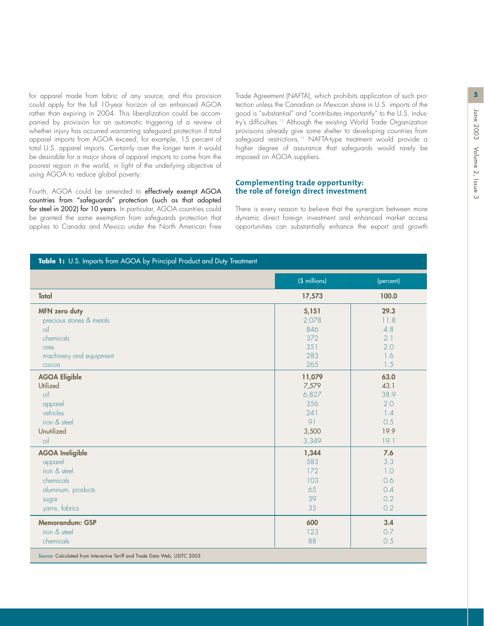for apparel made from fabric of any source, and this provision **5** Trade Agreement (NAFTA), which prohibits application of such procould apply for the full 10-year horizon of an enhanced AGOA rather than expiring in 2004. This liberalization could be accompanied by provision for an automatic triggering of a review of whether injury has occurred warranting safeguard protection if total apparel imports from AGOA exceed, for example, 15 percent of total U.S. apparel imports. Certainly over the longer term it would be desirable for a major share of apparel imports to come from the poorest region in the world, in light of the underlying objective of using AGOA to reduce global poverty.

Fourth, AGOA could be amended to effectively exempt AGOA countries from "safeguards" protection (such as that adopted for steel in 2002) for 10 years. In particular, AGOA countries could be granted the same exemption from safeguards protection that applies to Canada and Mexico under the North American Free

**Table 1:** U.S. Imports from AGOA by Principal Product and Duty Treatment

tection unless the Canadian or Mexican share in U.S. imports of the good is "substantial" and "contributes importantly" to the U.S. industry's difficulties.<sup>12</sup> Although the existing World Trade Organization provisions already give some shelter to developing countries from safeguard restrictions,<sup>13</sup> NAFTA-type treatment would provide a higher degree of assurance that safeguards would rarely be imposed on AGOA suppliers.

#### **Complementing trade opportunity: the role of foreign direct investment**

There is every reason to believe that the synergism between more dynamic direct foreign investment and enhanced market access opportunities can substantially enhance the export and growth

|                                                                           | (\$ millions) | (percent) |
|---------------------------------------------------------------------------|---------------|-----------|
| <b>Total</b>                                                              | 17,573        | 100.0     |
| <b>MFN</b> zero duty                                                      | 5,151         | 29.3      |
| precious stones & metals                                                  | 2,078         | 11.8      |
| oil                                                                       | 846           | 4.8       |
| chemicals                                                                 | 372           | 2.1       |
| ores                                                                      | 351           | 2.0       |
| machinery and equipment                                                   | 283           | 1.6       |
| cocoa                                                                     | 265           | 1.5       |
| <b>AGOA Eligible</b>                                                      | 11,079        | 63.0      |
| Utilized                                                                  | 7,579         | 43.1      |
| oil                                                                       | 6,827         | 38.9      |
| apparel                                                                   | 356           | 2.0       |
| vehicles                                                                  | 241           | 1.4       |
| iron & steel                                                              | 91            | 0.5       |
| Unutilized                                                                | 3,500         | 19.9      |
| $\circ$ il                                                                | 3,349         | 19.1      |
| <b>AGOA Ineligible</b>                                                    | 1,344         | 7.6       |
| apparel                                                                   | 583           | 3.3       |
| iron & steel                                                              | 172           | 1.0       |
| chemicals                                                                 | 103           | 0.6       |
| aluminum, products                                                        | 65            | 0.4       |
| sugar                                                                     | 39            | 0.2       |
| yarns, fabrics                                                            | 35            | 0.2       |
| Memorandum: GSP                                                           | 600           | 3.4       |
| iron & steel                                                              | 123           | 0.7       |
| chemicals                                                                 | 88            | 0.5       |
| Source: Calculated from Interactive Tariff and Trade Data Web, USITC 2003 |               |           |
|                                                                           |               |           |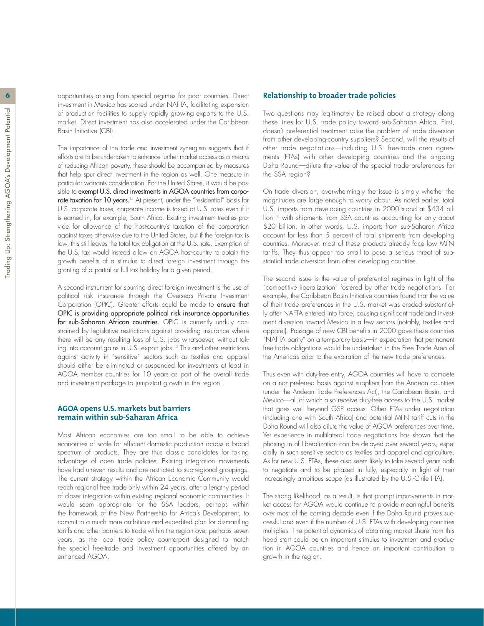**6 6** opportunities arising from special regimes for poor countries. Direct investment in Mexico has soared under NAFTA, facilitating expansion of production facilities to supply rapidly growing exports to the U.S. market. Direct investment has also accelerated under the Caribbean Basin Initiative (CBI).

> The importance of the trade and investment synergism suggests that if efforts are to be undertaken to enhance further market access as a means of reducing African poverty, these should be accompanied by measures that help spur direct investment in the region as well. One measure in particular warrants consideration. For the United States, it would be possible to exempt U.S. direct investments in AGOA countries from corporate taxation for 10 years.<sup>14</sup> At present, under the "residential" basis for U.S. corporate taxes, corporate income is taxed at U.S. rates even if it is earned in, for example, South Africa. Existing investment treaties provide for allowance of the host-country's taxation of the corporation against taxes otherwise due to the United States, but if the foreign tax is low, this still leaves the total tax obligation at the U.S. rate. Exemption of the U.S. tax would instead allow an AGOA host-country to obtain the growth benefits of a stimulus to direct foreign investment through the granting of a partial or full tax holiday for a given period.

> A second instrument for spurring direct foreign investment is the use of political risk insurance through the Overseas Private Investment Corporation (OPIC). Greater efforts could be made to ensure that OPIC is providing appropriate political risk insurance opportunities for sub-Saharan African countries. OPIC is currently unduly constrained by legislative restrictions against providing insurance where there will be any resulting loss of U.S. jobs whatsoever, without taking into account gains in U.S. export jobs.<sup>15</sup> This and other restrictions against activity in "sensitive" sectors such as textiles and apparel should either be eliminated or suspended for investments at least in AGOA member countries for 10 years as part of the overall trade and investment package to jump-start growth in the region.

#### **AGOA opens U.S. markets but barriers remain within sub-Saharan Africa**

Most African economies are too small to be able to achieve economies of scale for efficient domestic production across a broad spectrum of products. They are thus classic candidates for taking advantage of open trade policies. Existing integration movements have had uneven results and are restricted to sub-regional groupings. The current strategy within the African Economic Community would reach regional free trade only within 24 years, after a lengthy period of closer integration within existing regional economic communities. It would seem appropriate for the SSA leaders, perhaps within the framework of the New Partnership for Africa's Development, to commit to a much more ambitious and expedited plan for dismantling tariffs and other barriers to trade within the region over perhaps seven years, as the local trade policy counterpart designed to match the special free-trade and investment opportunities offered by an enhanced AGOA.

#### **Relationship to broader trade policies**

Two questions may legitimately be raised about a strategy along these lines for U.S. trade policy toward sub-Saharan Africa. First, doesn't preferential treatment raise the problem of trade diversion from other developing-country suppliers? Second, will the results of other trade negotiations—including U.S. free-trade area agreements (FTAs) with other developing countries and the ongoing Doha Round—dilute the value of the special trade preferences for the SSA region?

On trade diversion, overwhelmingly the issue is simply whether the magnitudes are large enough to worry about. As noted earlier, total U.S. imports from developing countries in 2000 stood at \$434 billion,<sup>16</sup> with shipments from SSA countries accounting for only about \$20 billion. In other words, U.S. imports from sub-Saharan Africa account for less than 5 percent of total shipments from developing countries. Moreover, most of these products already face low MFN tariffs. They thus appear too small to pose a serious threat of substantial trade diversion from other developing countries.

The second issue is the value of preferential regimes in light of the "competitive liberalization" fostered by other trade negotiations. For example, the Caribbean Basin Initiative countries found that the value of their trade preferences in the U.S. market was eroded substantially after NAFTA entered into force, causing significant trade and investment diversion toward Mexico in a few sectors (notably, textiles and apparel). Passage of new CBI benefits in 2000 gave these countries "NAFTA parity" on a temporary basis—in expectation that permanent free-trade obligations would be undertaken in the Free Trade Area of the Americas prior to the expiration of the new trade preferences.

Thus even with duty-free entry, AGOA countries will have to compete on a non-preferred basis against suppliers from the Andean countries (under the Andean Trade Preferences Act), the Caribbean Basin, and Mexico—all of which also receive duty-free access to the U.S. market that goes well beyond GSP access. Other FTAs under negotiation (including one with South Africa) and potential MFN tariff cuts in the Doha Round will also dilute the value of AGOA preferences over time. Yet experience in multilateral trade negotiations has shown that the phasing in of liberalization can be delayed over several years, especially in such sensitive sectors as textiles and apparel and agriculture. As for new U.S. FTAs, these also seem likely to take several years both to negotiate and to be phased in fully, especially in light of their increasingly ambitious scope (as illustrated by the U.S.-Chile FTA).

The strong likelihood, as a result, is that prompt improvements in market access for AGOA would continue to provide meaningful benefits over most of the coming decade even if the Doha Round proves successful and even if the number of U.S. FTAs with developing countries multiplies. The potential dynamics of obtaining market share from this head start could be an important stimulus to investment and production in AGOA countries and hence an important contribution to growth in the region.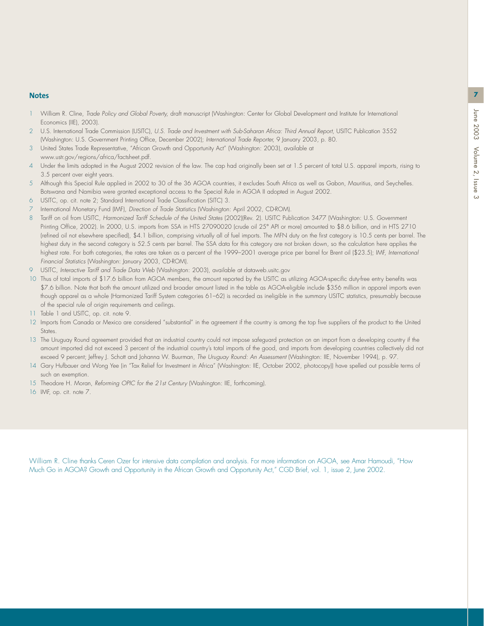#### **Notes 7**

- 1 William R. Cline, *Trade Policy and Global Poverty,* draft manuscript (Washington: Center for Global Development and Institute for International Economics (IIE), 2003).
- 2 U.S. International Trade Commission (USITC), *U.S. Trade and Investment with Sub-Saharan Africa: Third Annual Report,* USITC Publication 3552 (Washington: U.S. Government Printing Office, December 2002); *International Trade Reporter,* 9 January 2003, p. 80.
- 3 United States Trade Representative, "African Growth and Opportunity Act" (Washington: 2003), available at www.ustr.gov/regions/africa/factsheet.pdf.
- 4 Under the limits adopted in the August 2002 revision of the law. The cap had originally been set at 1.5 percent of total U.S. apparel imports, rising to 3.5 percent over eight years.
- 5 Although this Special Rule applied in 2002 to 30 of the 36 AGOA countries, it excludes South Africa as well as Gabon, Mauritius, and Seychelles. Botswana and Namibia were granted exceptional access to the Special Rule in AGOA II adopted in August 2002.
- 6 USITC, op. cit. note 2; Standard International Trade Classification (SITC) 3.
- 7 International Monetary Fund (IMF), *Direction of Trade Statistics* (Washington: April 2002, CD-ROM).
- 8 Tariff on oil from USITC, *Harmonized Tariff Schedule of the United States* (2002)(Rev. 2). USITC Publication 3477 (Washington: U.S. Government Printing Office, 2002). In 2000, U.S. imports from SSA in HTS 27090020 (crude oil 25° API or more) amounted to \$8.6 billion, and in HTS 2710 (refined oil not elsewhere specified), \$4.1 billion, comprising virtually all of fuel imports. The MFN duty on the first category is 10.5 cents per barrel. The highest duty in the second category is 52.5 cents per barrel. The SSA data for this category are not broken down, so the calculation here applies the highest rate. For both categories, the rates are taken as a percent of the 1999–2001 average price per barrel for Brent oil (\$23.5); IMF, *International Financial Statistics* (Washington: January 2003, CD-ROM).
- 9 USITC, *Interactive Tariff and Trade Data Web* (Washington: 2003), available at dataweb.usitc.gov
- 10 Thus of total imports of \$17.6 billion from AGOA members, the amount reported by the USITC as utilizing AGOA-specific duty-free entry benefits was \$7.6 billion. Note that both the amount utilized and broader amount listed in the table as AGOA-eligible include \$356 million in apparel imports even though apparel as a whole (Harmonized Tariff System categories 61–62) is recorded as ineligible in the summary USITC statistics, presumably because of the special rule of origin requirements and ceilings.
- 11 Table 1 and USITC, op. cit. note 9.
- 12 Imports from Canada or Mexico are considered "substantial" in the agreement if the country is among the top five suppliers of the product to the United States.
- 13 The Uruguay Round agreement provided that an industrial country could not impose safeguard protection on an import from a developing country if the amount imported did not exceed 3 percent of the industrial country's total imports of the good, and imports from developing countries collectively did not exceed 9 percent; Jeffrey J. Schott and Johanna W. Buurman, *The Uruguay Round: An Assessment* (Washington: IIE, November 1994), p. 97.
- 14 Gary Hufbauer and Wong Yee (in "Tax Relief for Investment in Africa" (Washington: IIE, October 2002, photocopy)) have spelled out possible terms of such an exemption.
- 15 Theodore H. Moran, *Reforming OPIC for the 21st Century* (Washington: IIE, forthcoming).
- 16 IMF, op. cit. note 7.

William R. Cline thanks Ceren Ozer for intensive data compilation and analysis. For more information on AGOA, see Amar Hamoudi, "How Much Go in AGOA? Growth and Opportunity in the African Growth and Opportunity Act," CGD Brief, vol. 1, issue 2, June 2002.